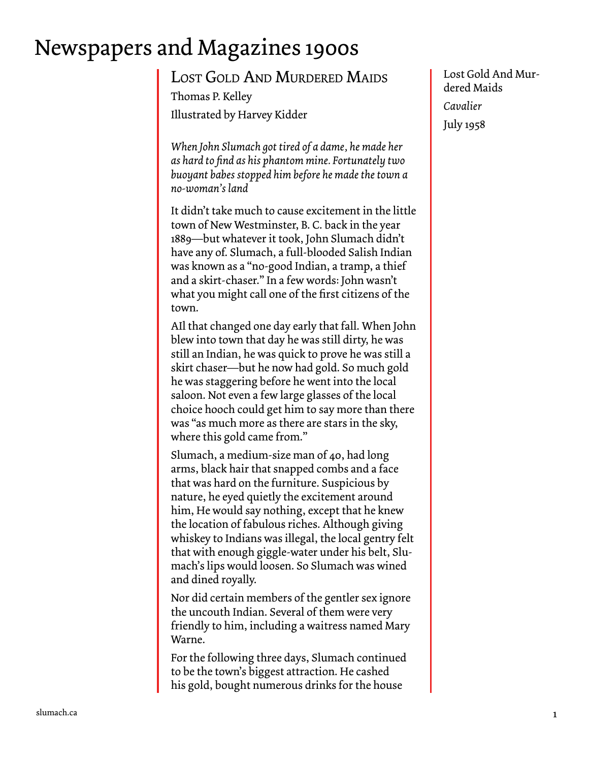## Newspapers and Magazines 1900s

Lost Gold And Murdered Maids Thomas P. Kelley Illustrated by Harvey Kidder

*When John Slumach got tired of a dame, he made her as hard to find as his phantom mine. Fortunately two buoyant babes stopped him before he made the town a no-woman's land* 

It didn't take much to cause excitement in the little town of New Westminster, B. C. back in the year 1889—but whatever it took, John Slumach didn't have any of. Slumach, a full-blooded Salish Indian was known as a "no-good Indian, a tramp, a thief and a skirt-chaser." In a few words: John wasn't what you might call one of the first citizens of the town.

AIl that changed one day early that fall. When John blew into town that day he was still dirty, he was still an Indian, he was quick to prove he was still a skirt chaser—but he now had gold. So much gold he was staggering before he went into the local saloon. Not even a few large glasses of the local choice hooch could get him to say more than there was "as much more as there are stars in the sky, where this gold came from."

Slumach, a medium-size man of 40, had long arms, black hair that snapped combs and a face that was hard on the furniture. Suspicious by nature, he eyed quietly the excitement around him, He would say nothing, except that he knew the location of fabulous riches. Although giving whiskey to Indians was illegal, the local gentry felt that with enough giggle-water under his belt, Slumach's lips would loosen. So Slumach was wined and dined royally.

Nor did certain members of the gentler sex ignore the uncouth Indian. Several of them were very friendly to him, including a waitress named Mary Warne.

For the following three days, Slumach continued to be the town's biggest attraction. He cashed his gold, bought numerous drinks for the house

Lost Gold And Murdered Maids *Cavalier*  July 1958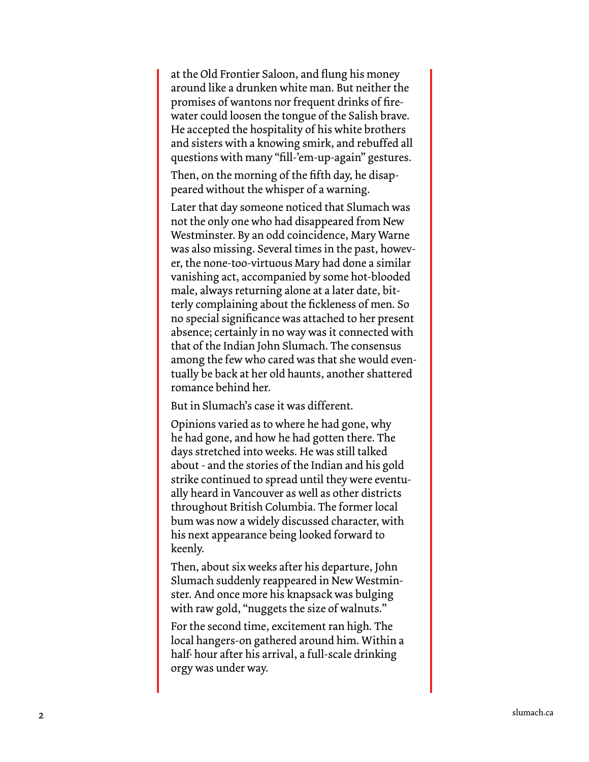at the Old Frontier Saloon, and flung his money around like a drunken white man. But neither the promises of wantons nor frequent drinks of fire water could loosen the tongue of the Salish brave. He accepted the hospitality of his white brothers and sisters with a knowing smirk, and rebuffed all questions with many "fill-'em-up-again" gestures.

Then, on the morning of the fifth day, he disap peared without the whisper of a warning.

Later that day someone noticed that Slumach was not the only one who had disappeared from New Westminster. By an odd coincidence, Mary Warne was also missing. Several times in the past, howev er, the none-too-virtuous Mary had done a similar vanishing act, accompanied by some hot-blooded male, always returning alone at a later date, bit terly complaining about the fickleness of men. So no special significance was attached to her present absence; certainly in no way was it connected with that of the Indian John Slumach. The consensus among the few who cared was that she would even tually be back at her old haunts, another shattered romance behind her.

But in Slumach's case it was different.

Opinions varied as to where he had gone, why he had gone, and how he had gotten there. The days stretched into weeks. He was still talked about - and the stories of the Indian and his gold strike continued to spread until they were eventu ally heard in Vancouver as well as other districts throughout British Columbia. The former local bum was now a widely discussed character, with his next appearance being looked forward to keenly.

Then, about six weeks after his departure, John Slumach suddenly reappeared in New Westmin ster. And once more his knapsack was bulging with raw gold, "nuggets the size of walnuts."

For the second time, excitement ran high. The local hangers-on gathered around him. Within a half· hour after his arrival, a full-scale drinking orgy was under way.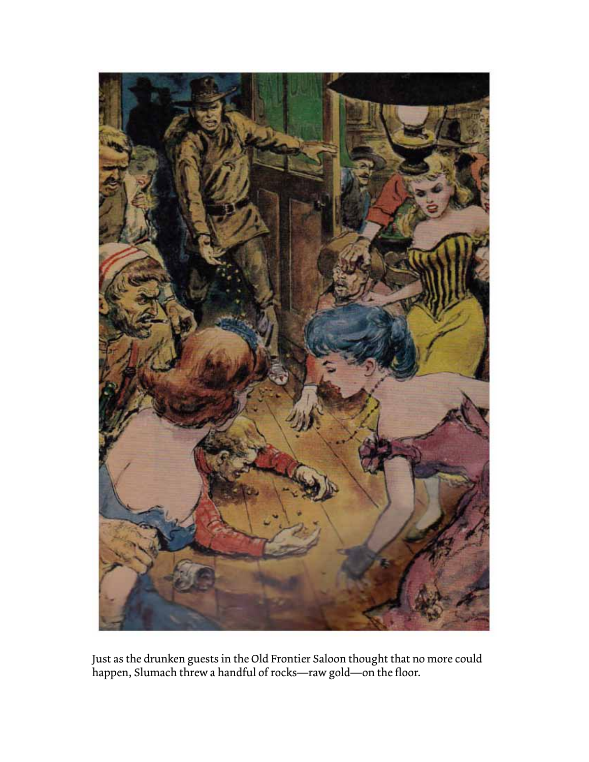

Just as the drunken guests in the Old Frontier Saloon thought that no more could happen, Slumach threw a handful of rocks—raw gold—on the floor.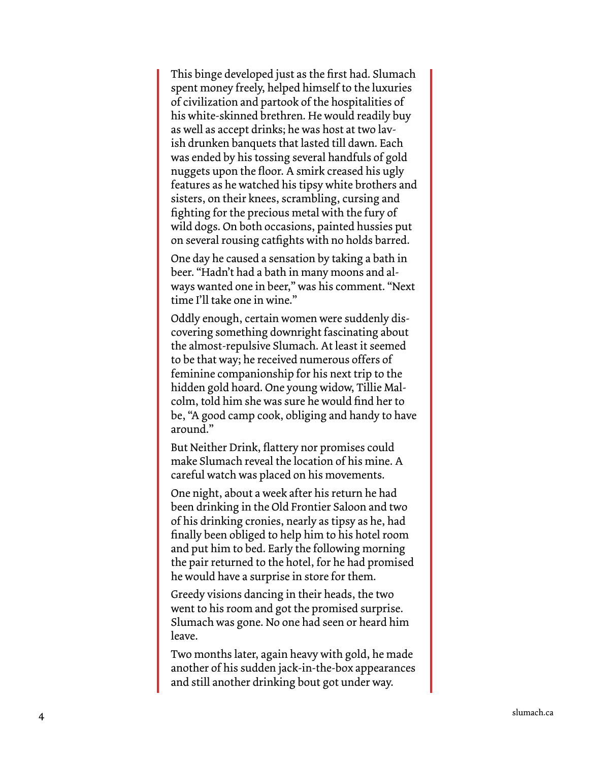This binge developed just as the first had. Slumach spent money freely, helped himself to the luxuries of civilization and partook of the hospitalities of his white-skinned brethren. He would readily buy as well as accept drinks; he was host at two lav ish drunken banquets that lasted till dawn. Each was ended by his tossing several handfuls of gold nuggets upon the floor. A smirk creased his ugly features as he watched his tipsy white brothers and sisters, on their knees, scrambling, cursing and fighting for the precious metal with the fury of wild dogs. On both occasions, painted hussies put on several rousing catfights with no holds barred.

One day he caused a sensation by taking a bath in beer. "Hadn't had a bath in many moons and al ways wanted one in beer," was his comment. "Next time I'll take one in wine."

Oddly enough, certain women were suddenly dis covering something downright fascinating about the almost-repulsive Slumach. At least it seemed to be that way; he received numerous offers of feminine companionship for his next trip to the hidden gold hoard. One young widow, Tillie Mal colm, told him she was sure he would find her to be, "A good camp cook, obliging and handy to have around."

But Neither Drink, flattery nor promises could make Slumach reveal the location of his mine. A careful watch was placed on his movements.

One night, about a week after his return he had been drinking in the Old Frontier Saloon and two of his drinking cronies, nearly as tipsy as he, had finally been obliged to help him to his hotel room and put him to bed. Early the following morning the pair returned to the hotel, for he had promised he would have a surprise in store for them.

Greedy visions dancing in their heads, the two went to his room and got the promised surprise. Slumach was gone. No one had seen or heard him leave.

Two months later, again heavy with gold, he made another of his sudden jack-in-the-box appearances and still another drinking bout got under way.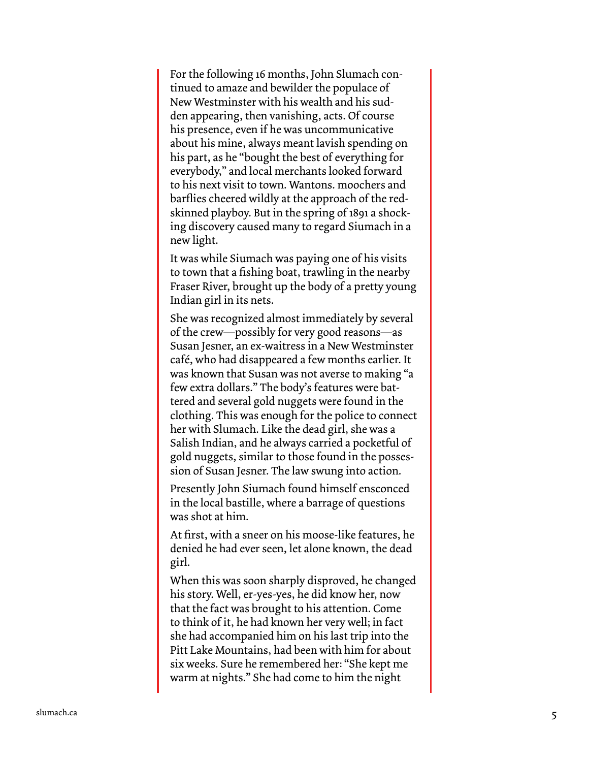For the following 16 months, John Slumach con tinued to amaze and bewilder the populace of New Westminster with his wealth and his sud den appearing, then vanishing, acts. Of course his presence, even if he was uncommunicative about his mine, always meant lavish spending on his part, as he "bought the best of everything for everybody," and local merchants looked forward to his next visit to town. Wantons. moochers and barflies cheered wildly at the approach of the redskinned playboy. But in the spring of 1891 a shocking discovery caused many to regard Siumach in a new light.

It was while Siumach was paying one of his visits to town that a fishing boat, trawling in the nearby Fraser River, brought up the body of a pretty young Indian girl in its nets.

She was recognized almost immediately by several of the crew—possibly for very good reasons—as Susan Jesner, an ex-waitress in a New Westminster café, who had disappeared a few months earlier. It was known that Susan was not averse to making "a few extra dollars." The body's features were bat tered and several gold nuggets were found in the clothing. This was enough for the police to connect her with Slumach. Like the dead girl, she was a Salish Indian, and he always carried a pocketful of gold nuggets, similar to those found in the posses sion of Susan Jesner. The law swung into action.

Presently John Siumach found himself ensconced in the local bastille, where a barrage of questions was shot at him.

At first, with a sneer on his moose-like features, he denied he had ever seen, let alone known, the dead girl.

When this was soon sharply disproved, he changed his story. Well, er-yes-yes, he did know her, now that the fact was brought to his attention. Come to think of it, he had known her very well; in fact she had accompanied him on his last trip into the Pitt Lake Mountains, had been with him for about six weeks. Sure he remembered her: "She kept me warm at nights." She had come to him the night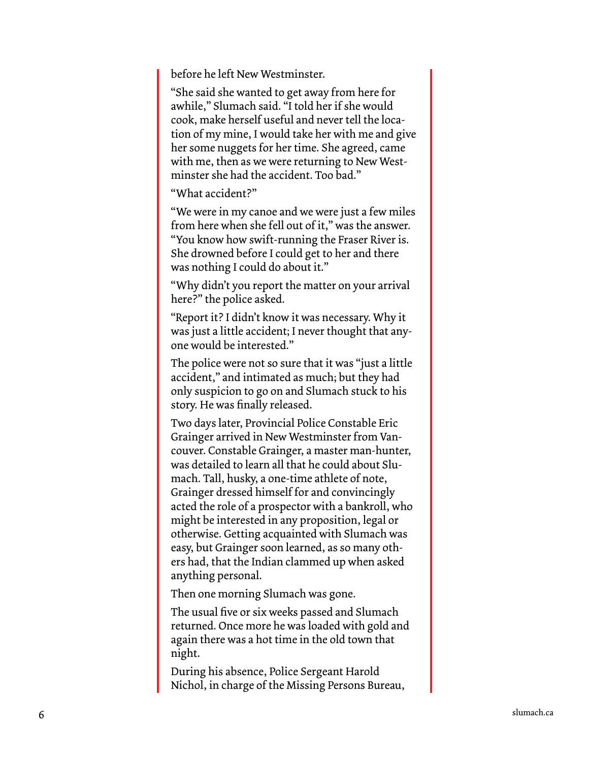before he left New Westminster.

"She said she wanted to get away from here for awhile," Slumach said. "I told her if she would cook, make herself useful and never tell the loca tion of my mine, I would take her with me and give her some nuggets for her time. She agreed, came with me, then as we were returning to New West minster she had the accident. Too bad."

"What accident?"

"We were in my canoe and we were just a few miles from here when she fell out of it," was the answer. "You know how swift-running the Fraser River is. She drowned before I could get to her and there was nothing I could do about it."

"Why didn't you report the matter on your arrival here?" the police asked.

"Report it? I didn't know it was necessary. Why it was just a little accident; I never thought that any one would be interested."

The police were not so sure that it was "just a little accident," and intimated as much; but they had only suspicion to go on and Slumach stuck to his story. He was finally released.

Two days later, Provincial Police Constable Eric Grainger arrived in New Westminster from Van couver. Constable Grainger, a master man-hunter, was detailed to learn all that he could about Slu mach. Tall, husky, a one-time athlete of note, Grainger dressed himself for and convincingly acted the role of a prospector with a bankroll, who might be interested in any proposition, legal or otherwise. Getting acquainted with Slumach was easy, but Grainger soon learned, as so many oth ers had, that the Indian clammed up when asked anything personal.

Then one morning Slumach was gone.

The usual five or six weeks passed and Slumach returned. Once more he was loaded with gold and again there was a hot time in the old town that night.

During his absence, Police Sergeant Harold Nichol, in charge of the Missing Persons Bureau,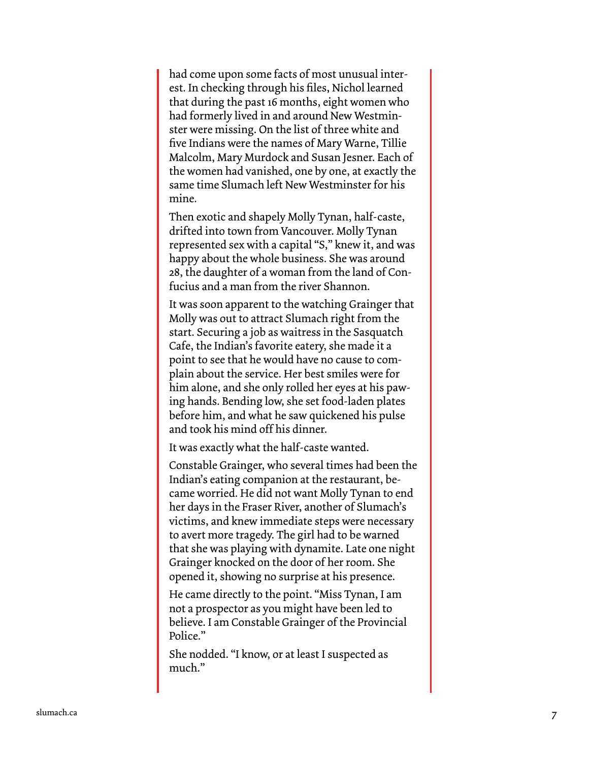had come upon some facts of most unusual inter est. In checking through his files, Nichol learned that during the past 16 months, eight women who had formerly lived in and around New Westmin ster were missing. On the list of three white and five Indians were the names of Mary Warne, Tillie Malcolm, Mary Murdock and Susan Jesner. Each of the women had vanished, one by one, at exactly the same time Slumach left New Westminster for his mine.

Then exotic and shapely Molly Tynan, half-caste, drifted into town from Vancouver. Molly Tynan represented sex with a capital "S," knew it, and was happy about the whole business. She was around 28, the daughter of a woman from the land of Con fucius and a man from the river Shannon.

It was soon apparent to the watching Grainger that Molly was out to attract Slumach right from the start. Securing a job as waitress in the Sasquatch Cafe, the Indian's favorite eatery, she made it a point to see that he would have no cause to com plain about the service. Her best smiles were for him alone, and she only rolled her eyes at his paw ing hands. Bending low, she set food-laden plates before him, and what he saw quickened his pulse and took his mind off his dinner.

It was exactly what the half-caste wanted.

Constable Grainger, who several times had been the Indian's eating companion at the restaurant, be came worried. He did not want Molly Tynan to end her days in the Fraser River, another of Slumach's victims, and knew immediate steps were necessary to avert more tragedy. The girl had to be warned that she was playing with dynamite. Late one night Grainger knocked on the door of her room. She opened it, showing no surprise at his presence.

He came directly to the point. "Miss Tynan, I am not a prospector as you might have been led to believe. I am Constable Grainger of the Provincial Police."

She nodded. "I know, or at least I suspected as much."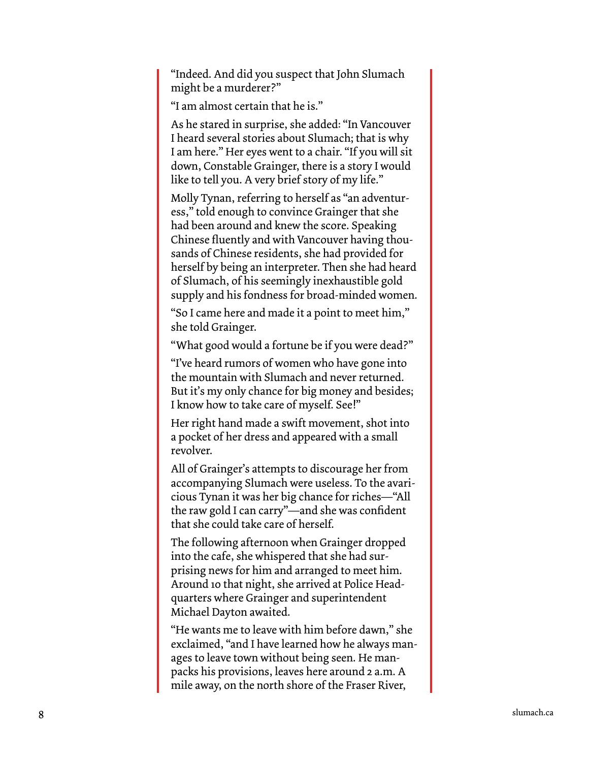"Indeed. And did you suspect that John Slumach might be a murderer?"

"I am almost certain that he is."

As he stared in surprise, she added: "In Vancouver I heard several stories about Slumach; that is why I am here." Her eyes went to a chair. "If you will sit down, Constable Grainger, there is a story I would like to tell you. A very brief story of my life."

Molly Tynan, referring to herself as "an adventur ess," told enough to convince Grainger that she had been around and knew the score. Speaking Chinese fluently and with Vancouver having thou sands of Chinese residents, she had provided for herself by being an interpreter. Then she had heard of Slumach, of his seemingly inexhaustible gold supply and his fondness for broad-minded women.

"So I came here and made it a point to meet him," she told Grainger.

"What good would a fortune be if you were dead?"

"I've heard rumors of women who have gone into the mountain with Slumach and never returned. But it's my only chance for big money and besides; I know how to take care of myself. See!"

Her right hand made a swift movement, shot into a pocket of her dress and appeared with a small revolver.

All of Grainger's attempts to discourage her from accompanying Slumach were useless. To the avari cious Tynan it was her big chance for riches—"All the raw gold I can carry"—and she was confident that she could take care of herself.

The following afternoon when Grainger dropped into the cafe, she whispered that she had sur prising news for him and arranged to meet him. Around 10 that night, she arrived at Police Head quarters where Grainger and superintendent Michael Dayton awaited.

"He wants me to leave with him before dawn," she exclaimed, "and I have learned how he always man ages to leave town without being seen. He manpacks his provisions, leaves here around 2 a.m. A mile away, on the north shore of the Fraser River,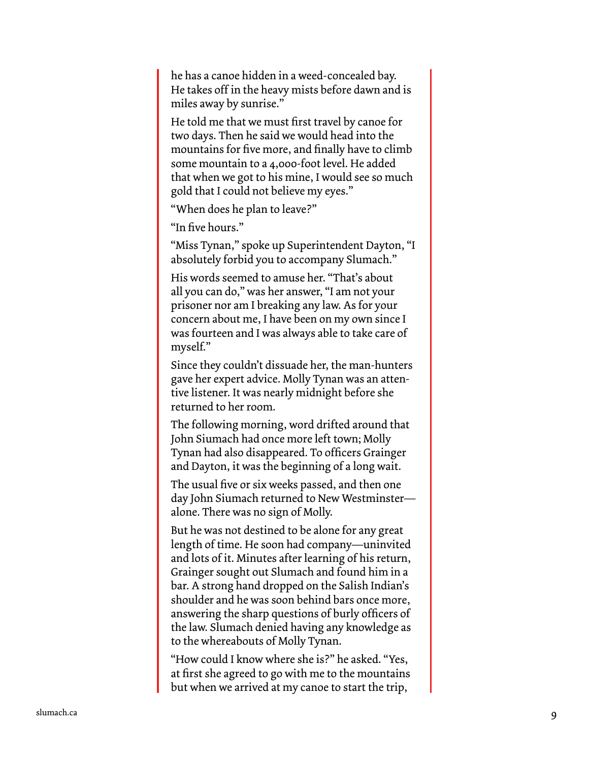he has a canoe hidden in a weed-concealed bay. He takes off in the heavy mists before dawn and is miles away by sunrise."

He told me that we must first travel by canoe for two days. Then he said we would head into the mountains for five more, and finally have to climb some mountain to a 4,000-foot level. He added that when we got to his mine, I would see so much gold that I could not believe my eyes."

"When does he plan to leave?"

"In five hours."

"Miss Tynan," spoke up Superintendent Dayton, "I absolutely forbid you to accompany Slumach."

His words seemed to amuse her. "That's about all you can do," was her answer, "I am not your prisoner nor am I breaking any law. As for your concern about me, I have been on my own since I was fourteen and I was always able to take care of myself."

Since they couldn't dissuade her, the man-hunters gave her expert advice. Molly Tynan was an atten tive listener. It was nearly midnight before she returned to her room.

The following morning, word drifted around that John Siumach had once more left town; Molly Tynan had also disappeared. To officers Grainger and Dayton, it was the beginning of a long wait.

The usual five or six weeks passed, and then one day John Siumach returned to New Westminster alone. There was no sign of Molly.

But he was not destined to be alone for any great length of time. He soon had company—uninvited and lots of it. Minutes after learning of his return, Grainger sought out Slumach and found him in a bar. A strong hand dropped on the Salish Indian's shoulder and he was soon behind bars once more, answering the sharp questions of burly officers of the law. Slumach denied having any knowledge as to the whereabouts of Molly Tynan.

"How could I know where she is?" he asked. "Yes, at first she agreed to go with me to the mountains but when we arrived at my canoe to start the trip,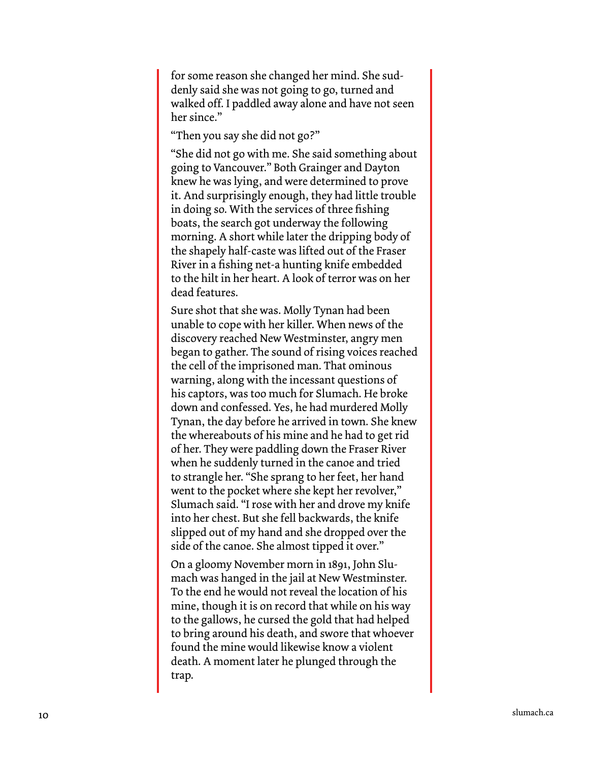for some reason she changed her mind. She sud denly said she was not going to go, turned and walked off. I paddled away alone and have not seen her since."

"Then you say she did not go?"

"She did not go with me. She said something about going to Vancouver." Both Grainger and Dayton knew he was lying, and were determined to prove it. And surprisingly enough, they had little trouble in doing so. With the services of three fishing boats, the search got underway the following morning. A short while later the dripping body of the shapely half-caste was lifted out of the Fraser River in a fishing net-a hunting knife embedded to the hilt in her heart. A look of terror was on her dead features.

Sure shot that she was. Molly Tynan had been unable to cope with her killer. When news of the discovery reached New Westminster, angry men began to gather. The sound of rising voices reached the cell of the imprisoned man. That ominous warning, along with the incessant questions of his captors, was too much for Slumach. He broke down and confessed. Yes, he had murdered Molly Tynan, the day before he arrived in town. She knew the whereabouts of his mine and he had to get rid of her. They were paddling down the Fraser River when he suddenly turned in the canoe and tried to strangle her. "She sprang to her feet, her hand went to the pocket where she kept her revolver," Slumach said. "I rose with her and drove my knife into her chest. But she fell backwards, the knife slipped out of my hand and she dropped over the side of the canoe. She almost tipped it over."

On a gloomy November morn in 1891, John Slu mach was hanged in the jail at New Westminster. To the end he would not reveal the location of his mine, though it is on record that while on his way to the gallows, he cursed the gold that had helped to bring around his death, and swore that whoever found the mine would likewise know a violent death. A moment later he plunged through the trap.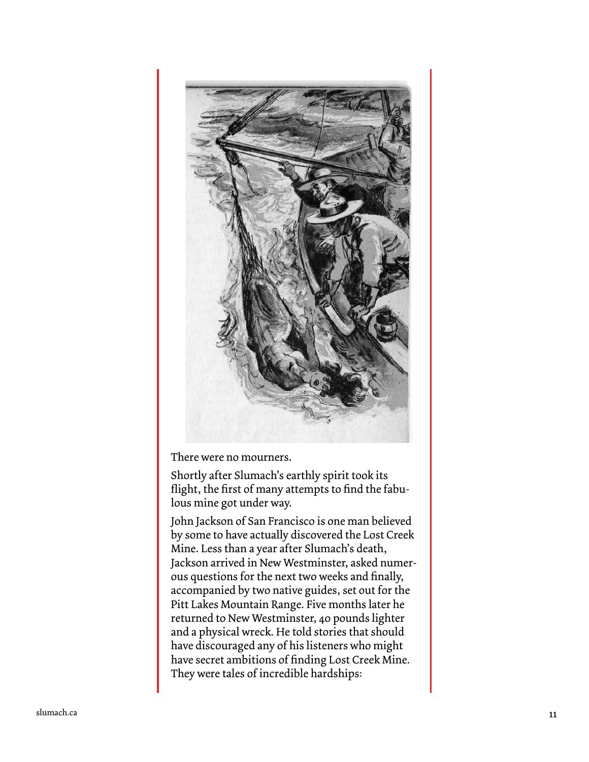

There were no mourners.

Shortly after Slumach's earthly spirit took its flight, the first of many attempts to find the fabu lous mine got under way.

John Jackson of San Francisco is one man believed by some to have actually discovered the Lost Creek Mine. Less than a year after Slumach's death, Jackson arrived in New Westminster, asked numer ous questions for the next two weeks and finally, accompanied by two native guides, set out for the Pitt Lakes Mountain Range. Five months later he returned to New Westminster, 40 pounds lighter and a physical wreck. He told stories that should have discouraged any of his listeners who might have secret ambitions of finding Lost Creek Mine. They were tales of incredible hardships: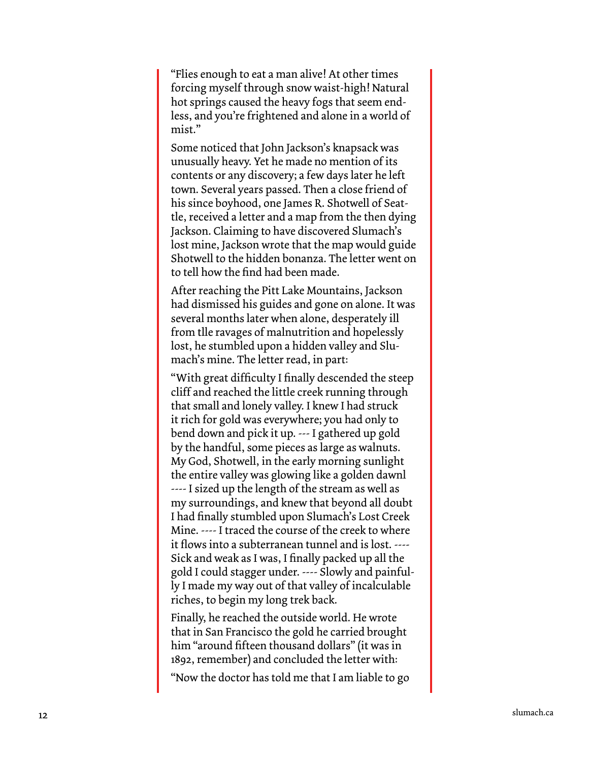"Flies enough to eat a man alive! At other times forcing myself through snow waist-high! Natural hot springs caused the heavy fogs that seem end less, and you're frightened and alone in a world of mist."

Some noticed that John Jackson's knapsack was unusually heavy. Yet he made no mention of its contents or any discovery; a few days later he left town. Several years passed. Then a close friend of his since boyhood, one James R. Shotwell of Seat tle, received a letter and a map from the then dying Jackson. Claiming to have discovered Slumach's lost mine, Jackson wrote that the map would guide Shotwell to the hidden bonanza. The letter went on to tell how the find had been made.

After reaching the Pitt Lake Mountains, Jackson had dismissed his guides and gone on alone. It was several months later when alone, desperately ill from tlle ravages of malnutrition and hopelessly lost, he stumbled upon a hidden valley and Slu mach's mine. The letter read, in part:

"With great difficulty I finally descended the steep cliff and reached the little creek running through that small and lonely valley. I knew I had struck it rich for gold was everywhere; you had only to bend down and pick it up. --- I gathered up gold by the handful, some pieces as large as walnuts. My God, Shotwell, in the early morning sunlight the entire valley was glowing like a golden dawnl ---- I sized up the length of the stream as well as my surroundings, and knew that beyond all doubt I had finally stumbled upon Slumach's Lost Creek Mine. ---- I traced the course of the creek to where it flows into a subterranean tunnel and is lost. ---- Sick and weak as I was, I finally packed up all the gold I could stagger under. ---- Slowly and painful ly I made my way out of that valley of incalculable riches, to begin my long trek back.

Finally, he reached the outside world. He wrote that in San Francisco the gold he carried brought him "around fifteen thousand dollars" (it was in 1892, remember) and concluded the letter with:

"Now the doctor has told me that I am liable to go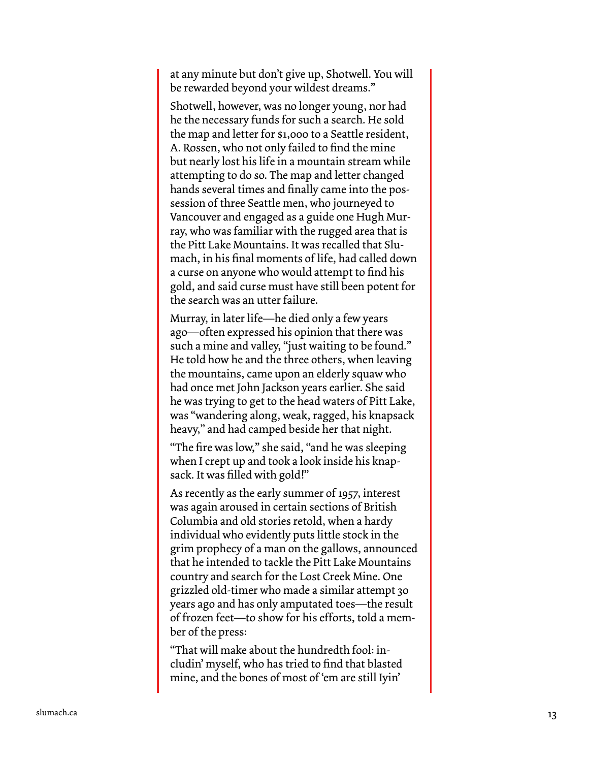at any minute but don't give up, Shotwell. You will be rewarded beyond your wildest dreams."

Shotwell, however, was no longer young, nor had he the necessary funds for such a search. He sold the map and letter for \$1,000 to a Seattle resident, A. Rossen, who not only failed to find the mine but nearly lost his life in a mountain stream while attempting to do so. The map and letter changed hands several times and finally came into the pos session of three Seattle men, who journeyed to Vancouver and engaged as a guide one Hugh Mur ray, who was familiar with the rugged area that is the Pitt Lake Mountains. It was recalled that Slu mach, in his final moments of life, had called down a curse on anyone who would attempt to find his gold, and said curse must have still been potent for the search was an utter failure.

Murray, in later life—he died only a few years ago—often expressed his opinion that there was such a mine and valley, "just waiting to be found." He told how he and the three others, when leaving the mountains, came upon an elderly squaw who had once met John Jackson years earlier. She said he was trying to get to the head waters of Pitt Lake, was "wandering along, weak, ragged, his knapsack heavy," and had camped beside her that night.

"The fire was low," she said, "and he was sleeping when I crept up and took a look inside his knap sack. It was filled with gold!"

As recently as the early summer of 1957, interest was again aroused in certain sections of British Columbia and old stories retold, when a hardy individual who evidently puts little stock in the grim prophecy of a man on the gallows, announced that he intended to tackle the Pitt Lake Mountains country and search for the Lost Creek Mine. One grizzled old-timer who made a similar attempt 30 years ago and has only amputated toes—the result of frozen feet—to show for his efforts, told a mem ber of the press:

"That will make about the hundredth fool: in cludin' myself, who has tried to find that blasted mine, and the bones of most of 'em are still Iyin'